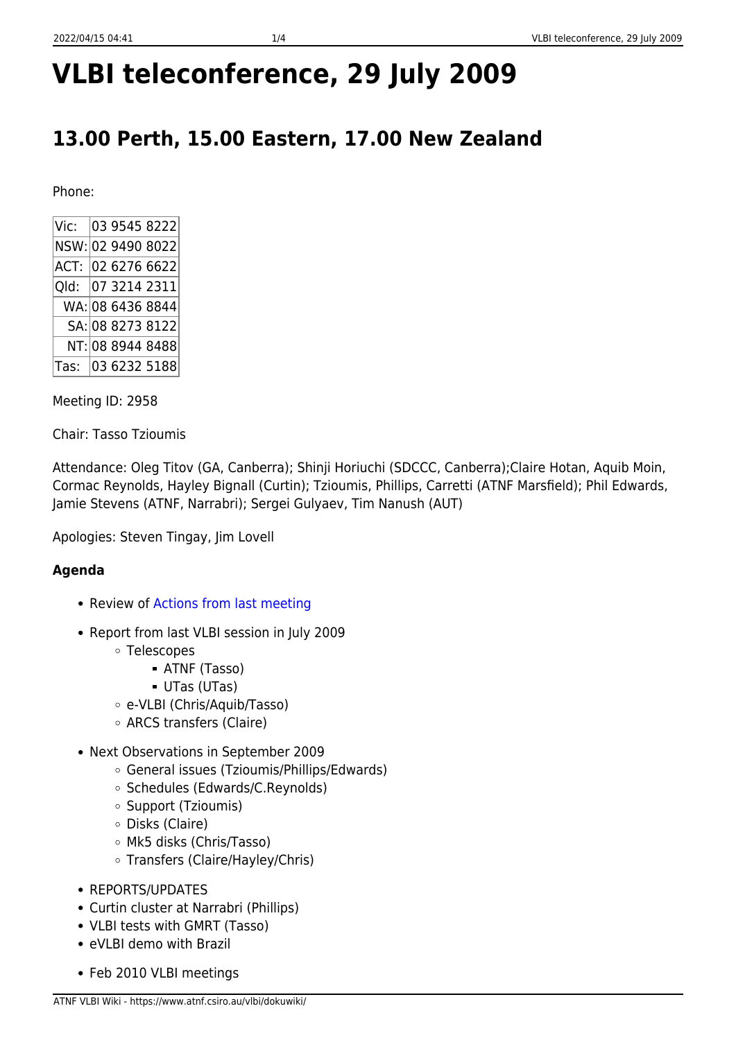# **VLBI teleconference, 29 July 2009**

## **13.00 Perth, 15.00 Eastern, 17.00 New Zealand**

Phone:

| Vic:              | 03 9545 8222     |  |
|-------------------|------------------|--|
| NSW: 02 9490 8022 |                  |  |
| ACT: 02 6276 6622 |                  |  |
| Qld: 07 3214 2311 |                  |  |
|                   | WA: 08 6436 8844 |  |
|                   | SA: 08 8273 8122 |  |
|                   | NT: 08 8944 8488 |  |
| Tas: 03 6232 5188 |                  |  |

Meeting ID: 2958

Chair: Tasso Tzioumis

Attendance: Oleg Titov (GA, Canberra); Shinji Horiuchi (SDCCC, Canberra);Claire Hotan, Aquib Moin, Cormac Reynolds, Hayley Bignall (Curtin); Tzioumis, Phillips, Carretti (ATNF Marsfield); Phil Edwards, Jamie Stevens (ATNF, Narrabri); Sergei Gulyaev, Tim Nanush (AUT)

Apologies: Steven Tingay, Jim Lovell

#### **Agenda**

- Review of [Actions from last meeting](https://www.atnf.csiro.au/vlbi/dokuwiki/doku.php/lbaops/telecon2009jun11)
- Report from last VLBI session in July 2009
	- Telescopes
		- ATNF (Tasso)
		- UTas (UTas)
	- e-VLBI (Chris/Aquib/Tasso)
	- ARCS transfers (Claire)
- Next Observations in September 2009
	- General issues (Tzioumis/Phillips/Edwards)
	- Schedules (Edwards/C.Reynolds)
	- Support (Tzioumis)
	- Disks (Claire)
	- Mk5 disks (Chris/Tasso)
	- Transfers (Claire/Hayley/Chris)
- REPORTS/UPDATES
- Curtin cluster at Narrabri (Phillips)
- VLBI tests with GMRT (Tasso)
- eVLBI demo with Brazil
- Feb 2010 VLBI meetings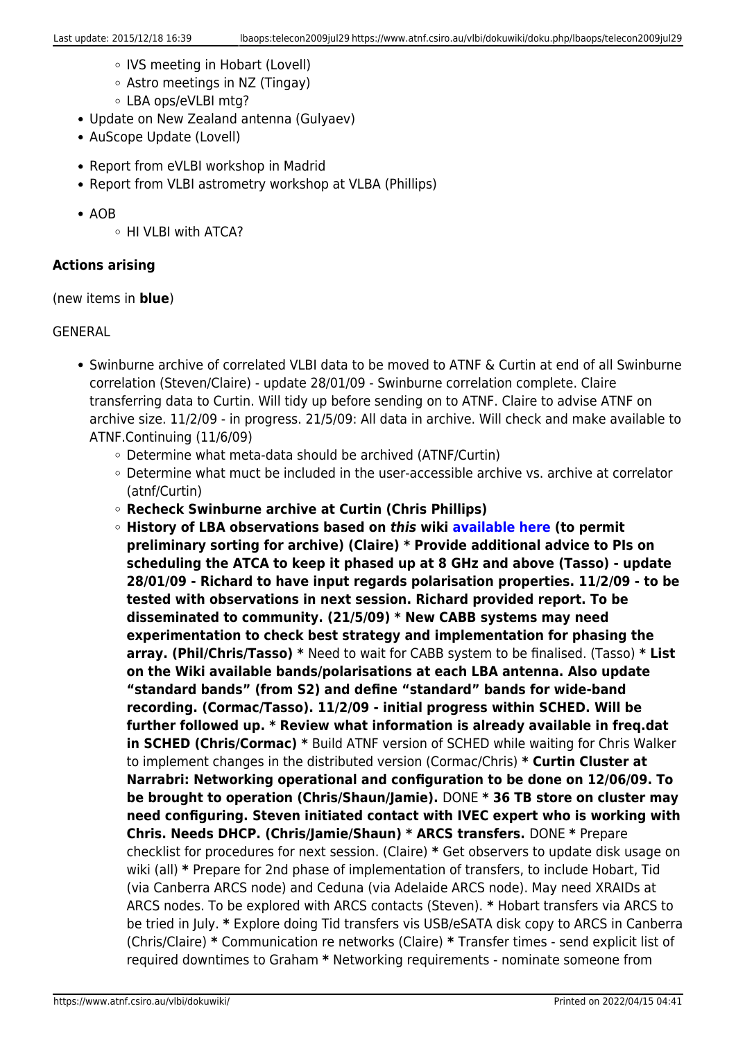- IVS meeting in Hobart (Lovell)
- Astro meetings in NZ (Tingay)
- LBA ops/eVLBI mtg?
- Update on New Zealand antenna (Gulyaev)
- AuScope Update (Lovell)
- Report from eVLBI workshop in Madrid
- Report from VLBI astrometry workshop at VLBA (Phillips)
- $\bullet$  AOB
	- HI VLBI with ATCA?

### **Actions arising**

(new items in **blue**)

#### GENERAL

- Swinburne archive of correlated VLBI data to be moved to ATNF & Curtin at end of all Swinburne correlation (Steven/Claire) - update 28/01/09 - Swinburne correlation complete. Claire transferring data to Curtin. Will tidy up before sending on to ATNF. Claire to advise ATNF on archive size. 11/2/09 - in progress. 21/5/09: All data in archive. Will check and make available to ATNF.Continuing (11/6/09)
	- Determine what meta-data should be archived (ATNF/Curtin)
	- $\circ$  Determine what muct be included in the user-accessible archive vs. archive at correlator (atnf/Curtin)
	- **Recheck Swinburne archive at Curtin (Chris Phillips)**

**History of LBA observations based on** *this* **wiki [available here](http://cira.ivec.org/dokuwiki/doku.php/correlator/records) (to permit preliminary sorting for archive) (Claire) \* Provide additional advice to PIs on scheduling the ATCA to keep it phased up at 8 GHz and above (Tasso) - update 28/01/09 - Richard to have input regards polarisation properties. 11/2/09 - to be tested with observations in next session. Richard provided report. To be disseminated to community. (21/5/09) \* New CABB systems may need experimentation to check best strategy and implementation for phasing the array. (Phil/Chris/Tasso) \*** Need to wait for CABB system to be finalised. (Tasso) **\* List on the Wiki available bands/polarisations at each LBA antenna. Also update "standard bands" (from S2) and define "standard" bands for wide-band recording. (Cormac/Tasso). 11/2/09 - initial progress within SCHED. Will be further followed up. \* Review what information is already available in freq.dat in SCHED (Chris/Cormac) \*** Build ATNF version of SCHED while waiting for Chris Walker to implement changes in the distributed version (Cormac/Chris) **\* Curtin Cluster at Narrabri: Networking operational and configuration to be done on 12/06/09. To be brought to operation (Chris/Shaun/Jamie).** DONE **\* 36 TB store on cluster may need configuring. Steven initiated contact with IVEC expert who is working with Chris. Needs DHCP. (Chris/Jamie/Shaun) \* ARCS transfers.** DONE **\*** Prepare checklist for procedures for next session. (Claire) **\*** Get observers to update disk usage on wiki (all) **\*** Prepare for 2nd phase of implementation of transfers, to include Hobart, Tid (via Canberra ARCS node) and Ceduna (via Adelaide ARCS node). May need XRAIDs at ARCS nodes. To be explored with ARCS contacts (Steven). **\*** Hobart transfers via ARCS to be tried in July. **\*** Explore doing Tid transfers vis USB/eSATA disk copy to ARCS in Canberra (Chris/Claire) **\*** Communication re networks (Claire) **\*** Transfer times - send explicit list of required downtimes to Graham **\*** Networking requirements - nominate someone from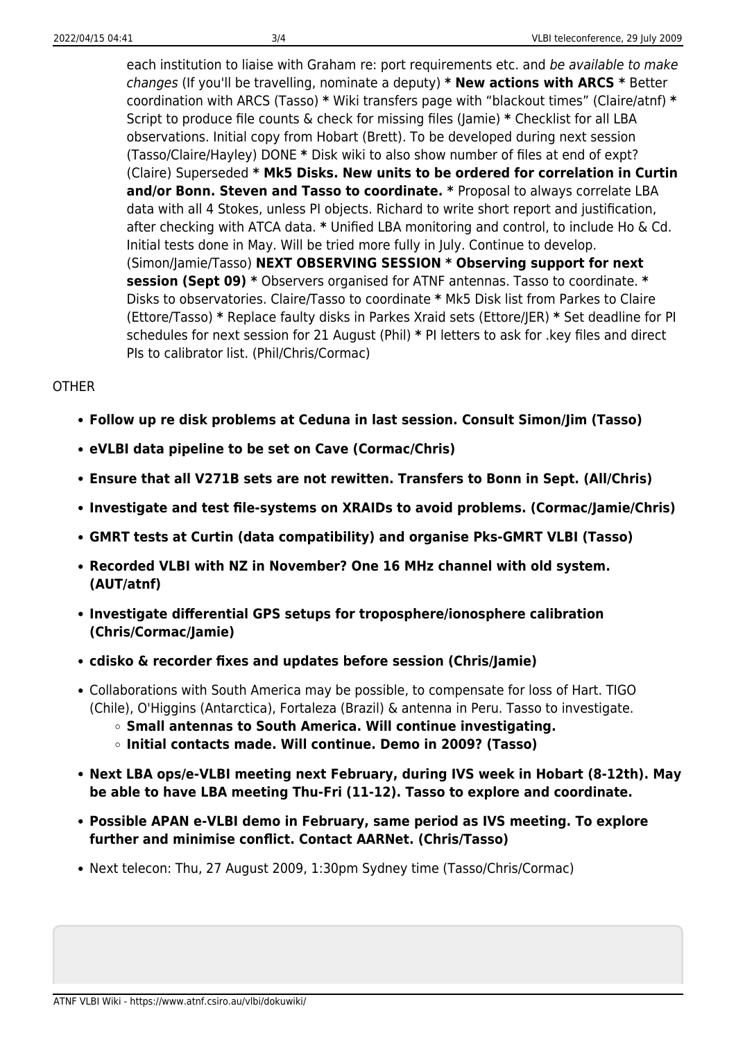each institution to liaise with Graham re: port requirements etc. and be available to make changes (If you'll be travelling, nominate a deputy) **\* New actions with ARCS \*** Better coordination with ARCS (Tasso) **\*** Wiki transfers page with "blackout times" (Claire/atnf) **\*** Script to produce file counts & check for missing files (Jamie) **\*** Checklist for all LBA observations. Initial copy from Hobart (Brett). To be developed during next session (Tasso/Claire/Hayley) DONE **\*** Disk wiki to also show number of files at end of expt? (Claire) Superseded **\* Mk5 Disks. New units to be ordered for correlation in Curtin and/or Bonn. Steven and Tasso to coordinate. \*** Proposal to always correlate LBA data with all 4 Stokes, unless PI objects. Richard to write short report and justification, after checking with ATCA data. **\*** Unified LBA monitoring and control, to include Ho & Cd. Initial tests done in May. Will be tried more fully in July. Continue to develop. (Simon/Jamie/Tasso) **NEXT OBSERVING SESSION \* Observing support for next session (Sept 09) \*** Observers organised for ATNF antennas. Tasso to coordinate. **\*** Disks to observatories. Claire/Tasso to coordinate **\*** Mk5 Disk list from Parkes to Claire (Ettore/Tasso) **\*** Replace faulty disks in Parkes Xraid sets (Ettore/JER) **\*** Set deadline for PI schedules for next session for 21 August (Phil) **\*** PI letters to ask for .key files and direct PIs to calibrator list. (Phil/Chris/Cormac)

#### OTHER

- **Follow up re disk problems at Ceduna in last session. Consult Simon/Jim (Tasso)**
- **eVLBI data pipeline to be set on Cave (Cormac/Chris)**
- **Ensure that all V271B sets are not rewitten. Transfers to Bonn in Sept. (All/Chris)**
- **Investigate and test file-systems on XRAIDs to avoid problems. (Cormac/Jamie/Chris)**
- **GMRT tests at Curtin (data compatibility) and organise Pks-GMRT VLBI (Tasso)**
- **Recorded VLBI with NZ in November? One 16 MHz channel with old system. (AUT/atnf)**
- **Investigate differential GPS setups for troposphere/ionosphere calibration (Chris/Cormac/Jamie)**
- **cdisko & recorder fixes and updates before session (Chris/Jamie)**
- Collaborations with South America may be possible, to compensate for loss of Hart. TIGO (Chile), O'Higgins (Antarctica), Fortaleza (Brazil) & antenna in Peru. Tasso to investigate.
	- **Small antennas to South America. Will continue investigating.**
	- **Initial contacts made. Will continue. Demo in 2009? (Tasso)**
- **Next LBA ops/e-VLBI meeting next February, during IVS week in Hobart (8-12th). May be able to have LBA meeting Thu-Fri (11-12). Tasso to explore and coordinate.**
- **Possible APAN e-VLBI demo in February, same period as IVS meeting. To explore further and minimise conflict. Contact AARNet. (Chris/Tasso)**
- Next telecon: Thu, 27 August 2009, 1:30pm Sydney time (Tasso/Chris/Cormac)